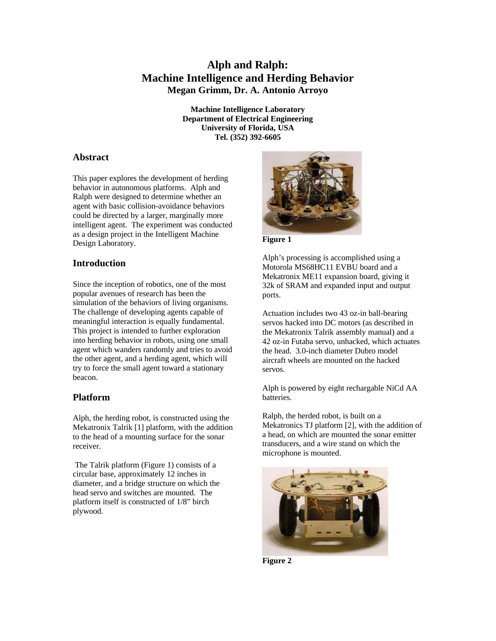# **Alph and Ralph: Machine Intelligence and Herding Behavior Megan Grimm, Dr. A. Antonio Arroyo**

**Machine Intelligence Laboratory Department of Electrical Engineering University of Florida, USA Tel. (352) 392-6605**

# **Abstract**

This paper explores the development of herding behavior in autonomous platforms. Alph and Ralph were designed to determine whether an agent with basic collision-avoidance behaviors could be directed by a larger, marginally more intelligent agent. The experiment was conducted as a design project in the Intelligent Machine Design Laboratory.

# **Introduction**

Since the inception of robotics, one of the most popular avenues of research has been the simulation of the behaviors of living organisms. The challenge of developing agents capable of meaningful interaction is equally fundamental. This project is intended to further exploration into herding behavior in robots, using one small agent which wanders randomly and tries to avoid the other agent, and a herding agent, which will try to force the small agent toward a stationary beacon.

# **Platform**

Alph, the herding robot, is constructed using the Mekatronix Talrik [1] platform, with the addition to the head of a mounting surface for the sonar receiver.

 The Talrik platform (Figure 1) consists of a circular base, approximately 12 inches in diameter, and a bridge structure on which the head servo and switches are mounted. The platform itself is constructed of 1/8" birch plywood.



**Figure 1**

Alph's processing is accomplished using a Motorola MS68HC11 EVBU board and a Mekatronix ME11 expansion board, giving it 32k of SRAM and expanded input and output ports.

Actuation includes two 43 oz-in ball-bearing servos hacked into DC motors (as described in the Mekatronix Talrik assembly manual) and a 42 oz-in Futaba servo, unhacked, which actuates the head. 3.0-inch diameter Dubro model aircraft wheels are mounted on the hacked servos.

Alph is powered by eight rechargable NiCd AA batteries.

Ralph, the herded robot, is built on a Mekatronics TJ platform [2], with the addition of a head, on which are mounted the sonar emitter transducers, and a wire stand on which the microphone is mounted.



**Figure 2**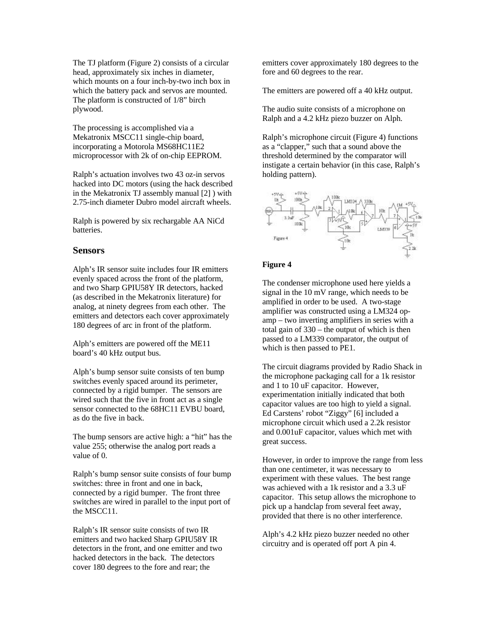The TJ platform (Figure 2) consists of a circular head, approximately six inches in diameter, which mounts on a four inch-by-two inch box in which the battery pack and servos are mounted. The platform is constructed of 1/8" birch plywood.

The processing is accomplished via a Mekatronix MSCC11 single-chip board, incorporating a Motorola MS68HC11E2 microprocessor with 2k of on-chip EEPROM.

Ralph's actuation involves two 43 oz-in servos hacked into DC motors (using the hack described in the Mekatronix TJ assembly manual [2] ) with 2.75-inch diameter Dubro model aircraft wheels.

Ralph is powered by six rechargable AA NiCd batteries.

### **Sensors**

Alph's IR sensor suite includes four IR emitters evenly spaced across the front of the platform, and two Sharp GPIU58Y IR detectors, hacked (as described in the Mekatronix literature) for analog, at ninety degrees from each other. The emitters and detectors each cover approximately 180 degrees of arc in front of the platform.

Alph's emitters are powered off the ME11 board's 40 kHz output bus.

Alph's bump sensor suite consists of ten bump switches evenly spaced around its perimeter, connected by a rigid bumper. The sensors are wired such that the five in front act as a single sensor connected to the 68HC11 EVBU board, as do the five in back.

The bump sensors are active high: a "hit" has the value 255; otherwise the analog port reads a value of 0.

Ralph's bump sensor suite consists of four bump switches: three in front and one in back, connected by a rigid bumper. The front three switches are wired in parallel to the input port of the MSCC11.

Ralph's IR sensor suite consists of two IR emitters and two hacked Sharp GPIU58Y IR detectors in the front, and one emitter and two hacked detectors in the back. The detectors cover 180 degrees to the fore and rear; the

emitters cover approximately 180 degrees to the fore and 60 degrees to the rear.

The emitters are powered off a 40 kHz output.

The audio suite consists of a microphone on Ralph and a 4.2 kHz piezo buzzer on Alph.

Ralph's microphone circuit (Figure 4) functions as a "clapper," such that a sound above the threshold determined by the comparator will instigate a certain behavior (in this case, Ralph's holding pattern).



### **Figure 4**

The condenser microphone used here yields a signal in the 10 mV range, which needs to be amplified in order to be used. A two-stage amplifier was constructed using a LM324 opamp – two inverting amplifiers in series with a total gain of 330 – the output of which is then passed to a LM339 comparator, the output of which is then passed to PE1.

The circuit diagrams provided by Radio Shack in the microphone packaging call for a 1k resistor and 1 to 10 uF capacitor. However, experimentation initially indicated that both capacitor values are too high to yield a signal. Ed Carstens' robot "Ziggy" [6] included a microphone circuit which used a 2.2k resistor and 0.001uF capacitor, values which met with great success.

However, in order to improve the range from less than one centimeter, it was necessary to experiment with these values. The best range was achieved with a 1k resistor and a 3.3 uF capacitor. This setup allows the microphone to pick up a handclap from several feet away, provided that there is no other interference.

Alph's 4.2 kHz piezo buzzer needed no other circuitry and is operated off port A pin 4.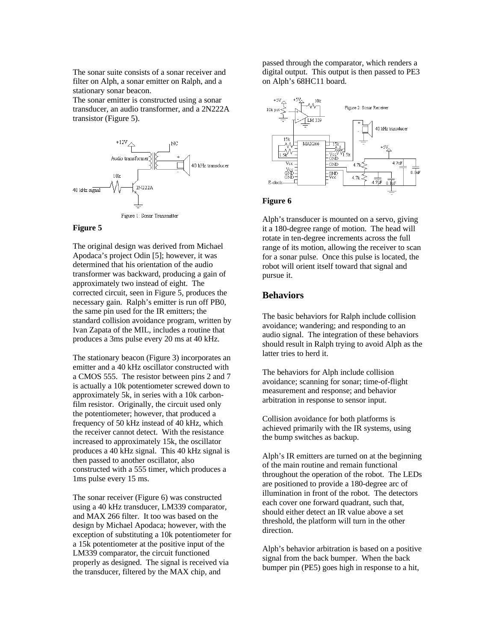The sonar suite consists of a sonar receiver and filter on Alph, a sonar emitter on Ralph, and a stationary sonar beacon.

The sonar emitter is constructed using a sonar transducer, an audio transformer, and a 2N222A transistor (Figure 5).



### **Figure 5**

The original design was derived from Michael Apodaca's project Odin [5]; however, it was determined that his orientation of the audio transformer was backward, producing a gain of approximately two instead of eight. The corrected circuit, seen in Figure 5, produces the necessary gain. Ralph's emitter is run off PB0, the same pin used for the IR emitters; the standard collision avoidance program, written by Ivan Zapata of the MIL, includes a routine that produces a 3ms pulse every 20 ms at 40 kHz.

The stationary beacon (Figure 3) incorporates an emitter and a 40 kHz oscillator constructed with a CMOS 555. The resistor between pins 2 and 7 is actually a 10k potentiometer screwed down to approximately 5k, in series with a 10k carbonfilm resistor. Originally, the circuit used only the potentiometer; however, that produced a frequency of 50 kHz instead of 40 kHz, which the receiver cannot detect. With the resistance increased to approximately 15k, the oscillator produces a 40 kHz signal. This 40 kHz signal is then passed to another oscillator, also constructed with a 555 timer, which produces a 1ms pulse every 15 ms.

The sonar receiver (Figure 6) was constructed using a 40 kHz transducer, LM339 comparator, and MAX 266 filter. It too was based on the design by Michael Apodaca; however, with the exception of substituting a 10k potentiometer for a 15k potentiometer at the positive input of the LM339 comparator, the circuit functioned properly as designed. The signal is received via the transducer, filtered by the MAX chip, and

passed through the comparator, which renders a digital output. This output is then passed to PE3 on Alph's 68HC11 board.



### **Figure 6**

Alph's transducer is mounted on a servo, giving it a 180-degree range of motion. The head will rotate in ten-degree increments across the full range of its motion, allowing the receiver to scan for a sonar pulse. Once this pulse is located, the robot will orient itself toward that signal and pursue it.

## **Behaviors**

The basic behaviors for Ralph include collision avoidance; wandering; and responding to an audio signal. The integration of these behaviors should result in Ralph trying to avoid Alph as the latter tries to herd it.

The behaviors for Alph include collision avoidance; scanning for sonar; time-of-flight measurement and response; and behavior arbitration in response to sensor input.

Collision avoidance for both platforms is achieved primarily with the IR systems, using the bump switches as backup.

Alph's IR emitters are turned on at the beginning of the main routine and remain functional throughout the operation of the robot. The LEDs are positioned to provide a 180-degree arc of illumination in front of the robot. The detectors each cover one forward quadrant, such that, should either detect an IR value above a set threshold, the platform will turn in the other direction.

Alph's behavior arbitration is based on a positive signal from the back bumper. When the back bumper pin (PE5) goes high in response to a hit,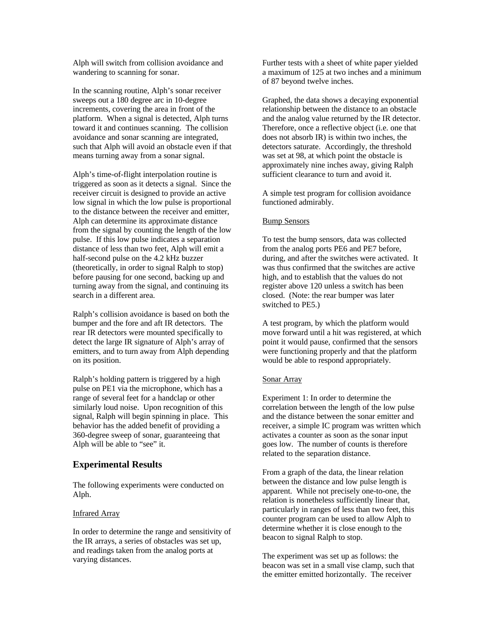Alph will switch from collision avoidance and wandering to scanning for sonar.

In the scanning routine, Alph's sonar receiver sweeps out a 180 degree arc in 10-degree increments, covering the area in front of the platform. When a signal is detected, Alph turns toward it and continues scanning. The collision avoidance and sonar scanning are integrated, such that Alph will avoid an obstacle even if that means turning away from a sonar signal.

Alph's time-of-flight interpolation routine is triggered as soon as it detects a signal. Since the receiver circuit is designed to provide an active low signal in which the low pulse is proportional to the distance between the receiver and emitter, Alph can determine its approximate distance from the signal by counting the length of the low pulse. If this low pulse indicates a separation distance of less than two feet, Alph will emit a half-second pulse on the 4.2 kHz buzzer (theoretically, in order to signal Ralph to stop) before pausing for one second, backing up and turning away from the signal, and continuing its search in a different area.

Ralph's collision avoidance is based on both the bumper and the fore and aft IR detectors. The rear IR detectors were mounted specifically to detect the large IR signature of Alph's array of emitters, and to turn away from Alph depending on its position.

Ralph's holding pattern is triggered by a high pulse on PE1 via the microphone, which has a range of several feet for a handclap or other similarly loud noise. Upon recognition of this signal, Ralph will begin spinning in place. This behavior has the added benefit of providing a 360-degree sweep of sonar, guaranteeing that Alph will be able to "see" it.

### **Experimental Results**

The following experiments were conducted on Alph.

### Infrared Array

In order to determine the range and sensitivity of the IR arrays, a series of obstacles was set up, and readings taken from the analog ports at varying distances.

Further tests with a sheet of white paper yielded a maximum of 125 at two inches and a minimum of 87 beyond twelve inches.

Graphed, the data shows a decaying exponential relationship between the distance to an obstacle and the analog value returned by the IR detector. Therefore, once a reflective object (i.e. one that does not absorb IR) is within two inches, the detectors saturate. Accordingly, the threshold was set at 98, at which point the obstacle is approximately nine inches away, giving Ralph sufficient clearance to turn and avoid it.

A simple test program for collision avoidance functioned admirably.

### Bump Sensors

To test the bump sensors, data was collected from the analog ports PE6 and PE7 before, during, and after the switches were activated. It was thus confirmed that the switches are active high, and to establish that the values do not register above 120 unless a switch has been closed. (Note: the rear bumper was later switched to PE5.)

A test program, by which the platform would move forward until a hit was registered, at which point it would pause, confirmed that the sensors were functioning properly and that the platform would be able to respond appropriately.

#### Sonar Array

Experiment 1: In order to determine the correlation between the length of the low pulse and the distance between the sonar emitter and receiver, a simple IC program was written which activates a counter as soon as the sonar input goes low. The number of counts is therefore related to the separation distance.

From a graph of the data, the linear relation between the distance and low pulse length is apparent. While not precisely one-to-one, the relation is nonetheless sufficiently linear that, particularly in ranges of less than two feet, this counter program can be used to allow Alph to determine whether it is close enough to the beacon to signal Ralph to stop.

The experiment was set up as follows: the beacon was set in a small vise clamp, such that the emitter emitted horizontally. The receiver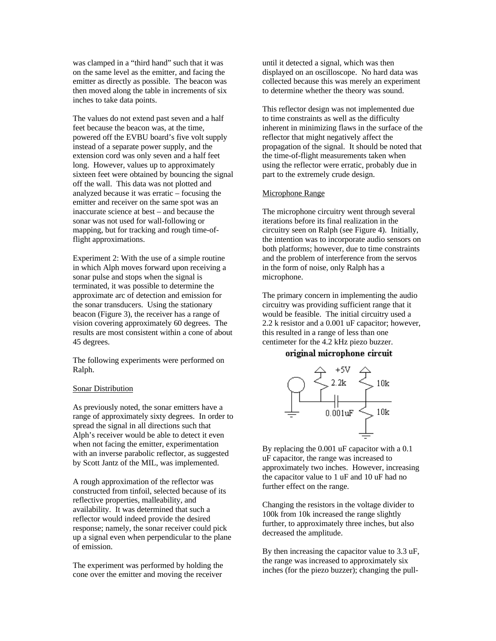was clamped in a "third hand" such that it was on the same level as the emitter, and facing the emitter as directly as possible. The beacon was then moved along the table in increments of six inches to take data points.

The values do not extend past seven and a half feet because the beacon was, at the time, powered off the EVBU board's five volt supply instead of a separate power supply, and the extension cord was only seven and a half feet long. However, values up to approximately sixteen feet were obtained by bouncing the signal off the wall. This data was not plotted and analyzed because it was erratic – focusing the emitter and receiver on the same spot was an inaccurate science at best – and because the sonar was not used for wall-following or mapping, but for tracking and rough time-offlight approximations.

Experiment 2: With the use of a simple routine in which Alph moves forward upon receiving a sonar pulse and stops when the signal is terminated, it was possible to determine the approximate arc of detection and emission for the sonar transducers. Using the stationary beacon (Figure 3), the receiver has a range of vision covering approximately 60 degrees. The results are most consistent within a cone of about 45 degrees.

The following experiments were performed on Ralph.

#### Sonar Distribution

As previously noted, the sonar emitters have a range of approximately sixty degrees. In order to spread the signal in all directions such that Alph's receiver would be able to detect it even when not facing the emitter, experimentation with an inverse parabolic reflector, as suggested by Scott Jantz of the MIL, was implemented.

A rough approximation of the reflector was constructed from tinfoil, selected because of its reflective properties, malleability, and availability. It was determined that such a reflector would indeed provide the desired response; namely, the sonar receiver could pick up a signal even when perpendicular to the plane of emission.

The experiment was performed by holding the cone over the emitter and moving the receiver

until it detected a signal, which was then displayed on an oscilloscope. No hard data was collected because this was merely an experiment to determine whether the theory was sound.

This reflector design was not implemented due to time constraints as well as the difficulty inherent in minimizing flaws in the surface of the reflector that might negatively affect the propagation of the signal. It should be noted that the time-of-flight measurements taken when using the reflector were erratic, probably due in part to the extremely crude design.

### Microphone Range

The microphone circuitry went through several iterations before its final realization in the circuitry seen on Ralph (see Figure 4). Initially, the intention was to incorporate audio sensors on both platforms; however, due to time constraints and the problem of interference from the servos in the form of noise, only Ralph has a microphone.

The primary concern in implementing the audio circuitry was providing sufficient range that it would be feasible. The initial circuitry used a 2.2 k resistor and a 0.001 uF capacitor; however, this resulted in a range of less than one centimeter for the 4.2 kHz piezo buzzer.

### original microphone circuit



By replacing the 0.001 uF capacitor with a 0.1 uF capacitor, the range was increased to approximately two inches. However, increasing the capacitor value to 1 uF and 10 uF had no further effect on the range.

Changing the resistors in the voltage divider to 100k from 10k increased the range slightly further, to approximately three inches, but also decreased the amplitude.

By then increasing the capacitor value to 3.3 uF, the range was increased to approximately six inches (for the piezo buzzer); changing the pull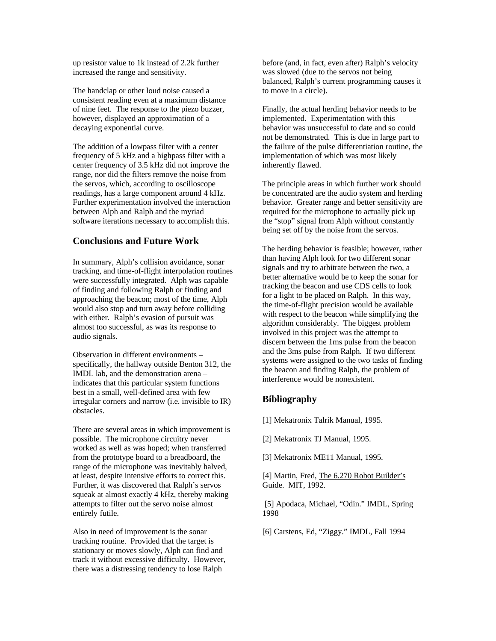up resistor value to 1k instead of 2.2k further increased the range and sensitivity.

The handclap or other loud noise caused a consistent reading even at a maximum distance of nine feet. The response to the piezo buzzer, however, displayed an approximation of a decaying exponential curve.

The addition of a lowpass filter with a center frequency of 5 kHz and a highpass filter with a center frequency of 3.5 kHz did not improve the range, nor did the filters remove the noise from the servos, which, according to oscilloscope readings, has a large component around 4 kHz. Further experimentation involved the interaction between Alph and Ralph and the myriad software iterations necessary to accomplish this.

## **Conclusions and Future Work**

In summary, Alph's collision avoidance, sonar tracking, and time-of-flight interpolation routines were successfully integrated. Alph was capable of finding and following Ralph or finding and approaching the beacon; most of the time, Alph would also stop and turn away before colliding with either. Ralph's evasion of pursuit was almost too successful, as was its response to audio signals.

Observation in different environments – specifically, the hallway outside Benton 312, the IMDL lab, and the demonstration arena – indicates that this particular system functions best in a small, well-defined area with few irregular corners and narrow (i.e. invisible to IR) obstacles.

There are several areas in which improvement is possible. The microphone circuitry never worked as well as was hoped; when transferred from the prototype board to a breadboard, the range of the microphone was inevitably halved, at least, despite intensive efforts to correct this. Further, it was discovered that Ralph's servos squeak at almost exactly 4 kHz, thereby making attempts to filter out the servo noise almost entirely futile.

Also in need of improvement is the sonar tracking routine. Provided that the target is stationary or moves slowly, Alph can find and track it without excessive difficulty. However, there was a distressing tendency to lose Ralph

before (and, in fact, even after) Ralph's velocity was slowed (due to the servos not being balanced, Ralph's current programming causes it to move in a circle).

Finally, the actual herding behavior needs to be implemented. Experimentation with this behavior was unsuccessful to date and so could not be demonstrated. This is due in large part to the failure of the pulse differentiation routine, the implementation of which was most likely inherently flawed.

The principle areas in which further work should be concentrated are the audio system and herding behavior. Greater range and better sensitivity are required for the microphone to actually pick up the "stop" signal from Alph without constantly being set off by the noise from the servos.

The herding behavior is feasible; however, rather than having Alph look for two different sonar signals and try to arbitrate between the two, a better alternative would be to keep the sonar for tracking the beacon and use CDS cells to look for a light to be placed on Ralph. In this way, the time-of-flight precision would be available with respect to the beacon while simplifying the algorithm considerably. The biggest problem involved in this project was the attempt to discern between the 1ms pulse from the beacon and the 3ms pulse from Ralph. If two different systems were assigned to the two tasks of finding the beacon and finding Ralph, the problem of interference would be nonexistent.

# **Bibliography**

[1] Mekatronix Talrik Manual, 1995.

[2] Mekatronix TJ Manual, 1995.

[3] Mekatronix ME11 Manual, 1995.

[4] Martin, Fred, The 6.270 Robot Builder's Guide. MIT, 1992.

 [5] Apodaca, Michael, "Odin." IMDL, Spring 1998

[6] Carstens, Ed, "Ziggy." IMDL, Fall 1994